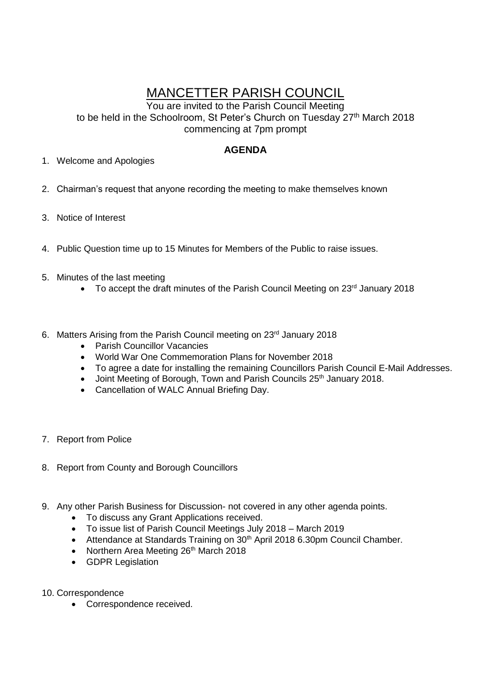## MANCETTER PARISH COUNCIL

You are invited to the Parish Council Meeting to be held in the Schoolroom, St Peter's Church on Tuesday 27<sup>th</sup> March 2018 commencing at 7pm prompt

## **AGENDA**

- 1. Welcome and Apologies
- 2. Chairman's request that anyone recording the meeting to make themselves known
- 3. Notice of Interest
- 4. Public Question time up to 15 Minutes for Members of the Public to raise issues.
- 5. Minutes of the last meeting
	- To accept the draft minutes of the Parish Council Meeting on 23<sup>rd</sup> January 2018
- 6. Matters Arising from the Parish Council meeting on 23<sup>rd</sup> January 2018
	- Parish Councillor Vacancies
	- World War One Commemoration Plans for November 2018
	- To agree a date for installing the remaining Councillors Parish Council E-Mail Addresses.
	- Joint Meeting of Borough, Town and Parish Councils 25<sup>th</sup> January 2018.
	- Cancellation of WALC Annual Briefing Day.
- 7. Report from Police
- 8. Report from County and Borough Councillors
- 9. Any other Parish Business for Discussion- not covered in any other agenda points.
	- To discuss any Grant Applications received.
	- To issue list of Parish Council Meetings July 2018 March 2019
	- Attendance at Standards Training on 30<sup>th</sup> April 2018 6.30pm Council Chamber.
	- Northern Area Meeting 26<sup>th</sup> March 2018
	- GDPR Legislation
- 10. Correspondence
	- Correspondence received.